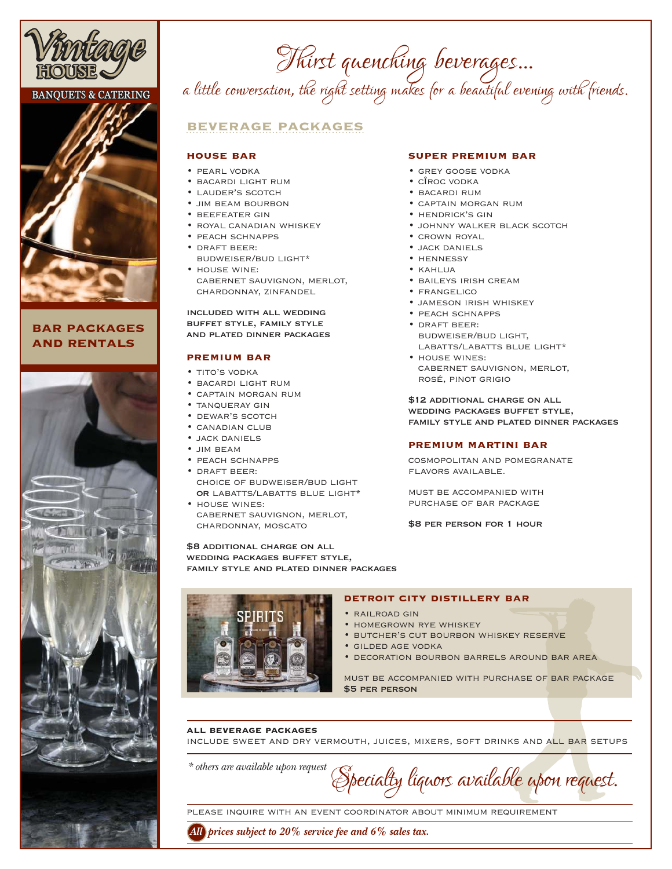

# **BANQUETS & CATERING**



## **bar packages and rentals**



Thirst quenching beverages... a little conversation, the right setting makes for a beautiful evening with friends.

# **beverage packages**

### **house bar**

- pearl vodka
- bacardi light rum
- lauder's scotch
- jim beam bourbon
- beefeater gin
- royal canadian whiskey
- peach schnapps • draft beer:
- budweiser/bud light\*
- house wine: cabernet sauvignon, merlot, chardonnay, zinfandel

### included with all wedding buffet style, family style and plated dinner packages

### **premium bar**

- TITO'S VODKA
- bacardi light rum
- captain morgan rum
- tanqueray gin
- dewar's scotch
- canadian club
- jack daniels
- jim beam
- peach schnapps
- draft beer: choice of budweiser/bud light OR LABATTS/LABATTS BLUE LIGHT\*
- house wines: cabernet sauvignon, merlot, chardonnay, moscato

\$8 additional charge on all wedding packages buffet style, family style and plated dinner packages



### **super premium bar**

- grey goose vodka
- cÎroc vodka
- bacardi rum
- captain morgan rum
- hendrick's gin
- johnny walker black scotch
- crown royal
- jack daniels
- hennessy
- kahlua
- baileys irish cream
- frangelico
- jameson irish whiskey
- peach schnapps
- draft beer: budweiser/bud light, LABATTS/LABATTS BLUE LIGHT\*
- house wines: cabernet sauvignon, merlot, rosé, pinot grigio

\$12 ADDITIONAL CHARGE ON ALL wedding packages buffet style, family style and plated dinner packages

### **premium martini bar**

cosmopolitan and pomegranate flavors available.

must be accompanied with purchase of bar package

\$8 per person for 1 hour

### **detroit city distillery bar**

- railroad gin
- homegrown rye whiskey
- butcher's cut bourbon whiskey reserve
- gilded age vodka
- decoration bourbon barrels around bar area

must be accompanied with purchase of bar package \$5 per person

### **all beverage packages**

INCLUDE SWEET AND DRY VERMOUTH, JUICES, MIXERS, SOFT DRINKS AND ALL BAR SETUPS

*\* others are available upon request*

Specialty liquors available upon request.

please inquire with an event coordinator about minimum requirement

*All prices subject to 20% service fee and 6% sales tax.*